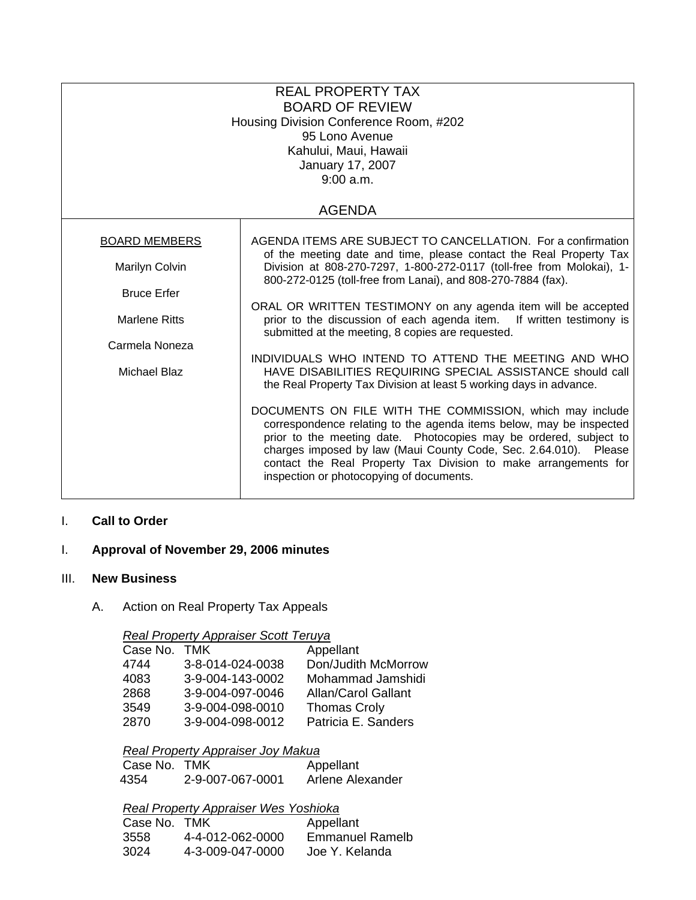| <b>REAL PROPERTY TAX</b><br><b>BOARD OF REVIEW</b><br>Housing Division Conference Room, #202<br>95 Lono Avenue<br>Kahului, Maui, Hawaii<br>January 17, 2007<br>9:00 a.m. |                                                                                                                                                                                                                                                                                                                                                                                         |  |
|--------------------------------------------------------------------------------------------------------------------------------------------------------------------------|-----------------------------------------------------------------------------------------------------------------------------------------------------------------------------------------------------------------------------------------------------------------------------------------------------------------------------------------------------------------------------------------|--|
| <b>AGENDA</b>                                                                                                                                                            |                                                                                                                                                                                                                                                                                                                                                                                         |  |
| <b>BOARD MEMBERS</b>                                                                                                                                                     | AGENDA ITEMS ARE SUBJECT TO CANCELLATION. For a confirmation                                                                                                                                                                                                                                                                                                                            |  |
| Marilyn Colvin                                                                                                                                                           | of the meeting date and time, please contact the Real Property Tax<br>Division at 808-270-7297, 1-800-272-0117 (toll-free from Molokai), 1-<br>800-272-0125 (toll-free from Lanai), and 808-270-7884 (fax).                                                                                                                                                                             |  |
| <b>Bruce Erfer</b>                                                                                                                                                       |                                                                                                                                                                                                                                                                                                                                                                                         |  |
| <b>Marlene Ritts</b>                                                                                                                                                     | ORAL OR WRITTEN TESTIMONY on any agenda item will be accepted<br>prior to the discussion of each agenda item. If written testimony is<br>submitted at the meeting, 8 copies are requested.                                                                                                                                                                                              |  |
| Carmela Noneza                                                                                                                                                           | INDIVIDUALS WHO INTEND TO ATTEND THE MEETING AND WHO                                                                                                                                                                                                                                                                                                                                    |  |
| Michael Blaz                                                                                                                                                             | HAVE DISABILITIES REQUIRING SPECIAL ASSISTANCE should call<br>the Real Property Tax Division at least 5 working days in advance.                                                                                                                                                                                                                                                        |  |
|                                                                                                                                                                          | DOCUMENTS ON FILE WITH THE COMMISSION, which may include<br>correspondence relating to the agenda items below, may be inspected<br>prior to the meeting date. Photocopies may be ordered, subject to<br>charges imposed by law (Maui County Code, Sec. 2.64.010). Please<br>contact the Real Property Tax Division to make arrangements for<br>inspection or photocopying of documents. |  |

# I. **Call to Order**

# I. **Approval of November 29, 2006 minutes**

## III. **New Business**

# A. Action on Real Property Tax Appeals

### *Real Property Appraiser Scott Teruya*

| Case No. TMK |                  | Appellant                  |
|--------------|------------------|----------------------------|
| 4744         | 3-8-014-024-0038 | Don/Judith McMorrow        |
| 4083         | 3-9-004-143-0002 | Mohammad Jamshidi          |
| 2868         | 3-9-004-097-0046 | <b>Allan/Carol Gallant</b> |
| 3549         | 3-9-004-098-0010 | <b>Thomas Croly</b>        |
| 2870         | 3-9-004-098-0012 | Patricia E. Sanders        |

# *Real Property Appraiser Joy Makua*

| Case No. TMK |                  | Appellant        |
|--------------|------------------|------------------|
| 4354         | 2-9-007-067-0001 | Arlene Alexander |

## *Real Property Appraiser Wes Yoshioka*

| Case No. TMK |                  | Appellant              |
|--------------|------------------|------------------------|
| 3558         | 4-4-012-062-0000 | <b>Emmanuel Ramelb</b> |
| 3024         | 4-3-009-047-0000 | Joe Y. Kelanda         |